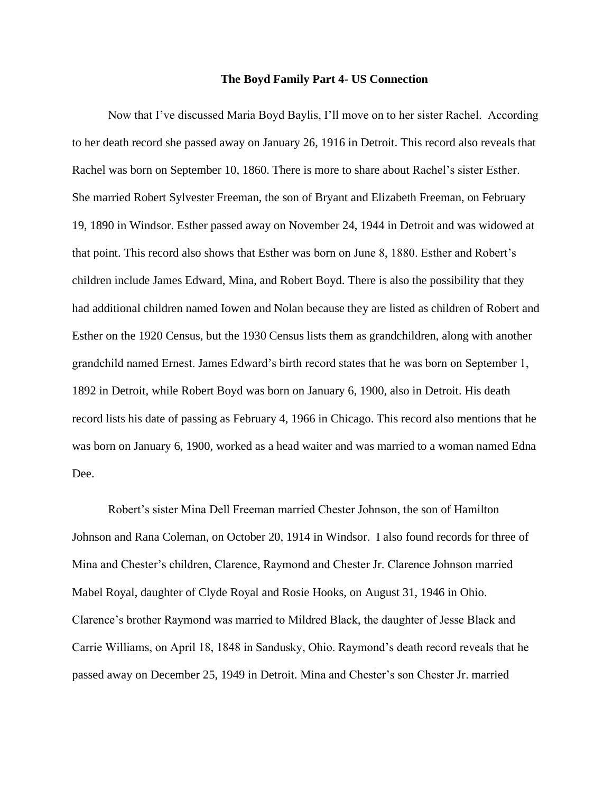## **The Boyd Family Part 4- US Connection**

Now that I've discussed Maria Boyd Baylis, I'll move on to her sister Rachel. According to her death record she passed away on January 26, 1916 in Detroit. This record also reveals that Rachel was born on September 10, 1860. There is more to share about Rachel's sister Esther. She married Robert Sylvester Freeman, the son of Bryant and Elizabeth Freeman, on February 19, 1890 in Windsor. Esther passed away on November 24, 1944 in Detroit and was widowed at that point. This record also shows that Esther was born on June 8, 1880. Esther and Robert's children include James Edward, Mina, and Robert Boyd. There is also the possibility that they had additional children named Iowen and Nolan because they are listed as children of Robert and Esther on the 1920 Census, but the 1930 Census lists them as grandchildren, along with another grandchild named Ernest. James Edward's birth record states that he was born on September 1, 1892 in Detroit, while Robert Boyd was born on January 6, 1900, also in Detroit. His death record lists his date of passing as February 4, 1966 in Chicago. This record also mentions that he was born on January 6, 1900, worked as a head waiter and was married to a woman named Edna Dee.

Robert's sister Mina Dell Freeman married Chester Johnson, the son of Hamilton Johnson and Rana Coleman, on October 20, 1914 in Windsor. I also found records for three of Mina and Chester's children, Clarence, Raymond and Chester Jr. Clarence Johnson married Mabel Royal, daughter of Clyde Royal and Rosie Hooks, on August 31, 1946 in Ohio. Clarence's brother Raymond was married to Mildred Black, the daughter of Jesse Black and Carrie Williams, on April 18, 1848 in Sandusky, Ohio. Raymond's death record reveals that he passed away on December 25, 1949 in Detroit. Mina and Chester's son Chester Jr. married